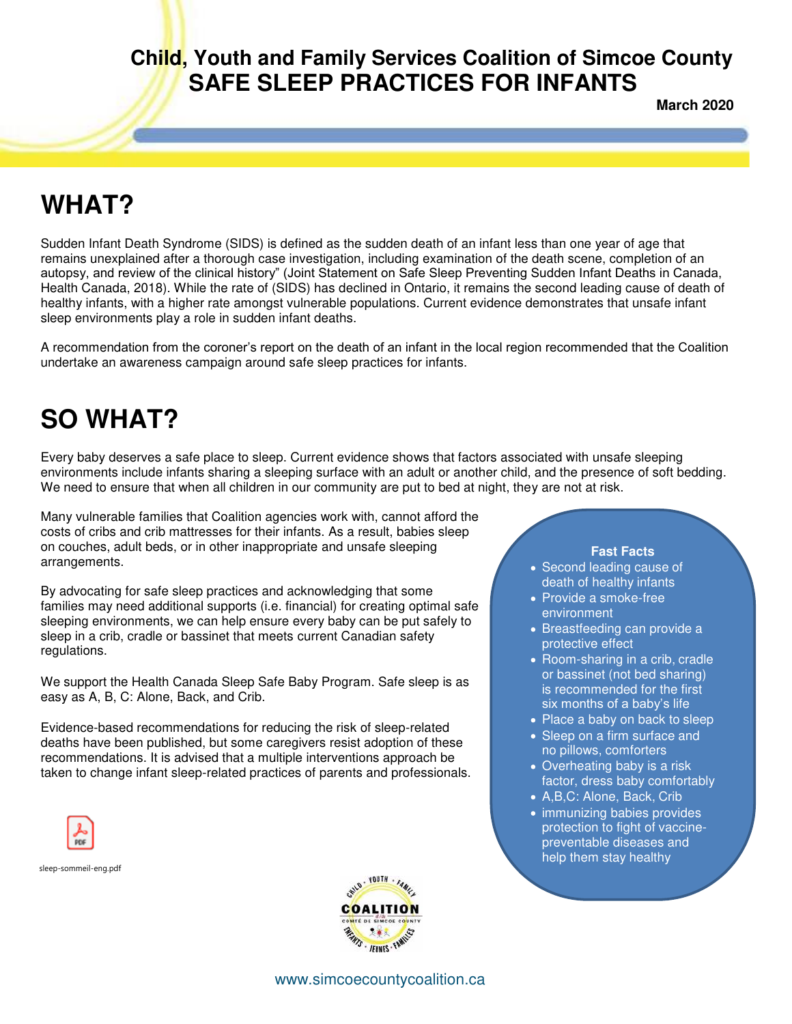## **Child, Youth and Family Services Coalition of Simcoe County SAFE SLEEP PRACTICES FOR INFANTS**

**March 2020** 

# **WHAT?**

Sudden Infant Death Syndrome (SIDS) is defined as the sudden death of an infant less than one year of age that remains unexplained after a thorough case investigation, including examination of the death scene, completion of an autopsy, and review of the clinical history" (Joint Statement on Safe Sleep Preventing Sudden Infant Deaths in Canada, Health Canada, 2018). While the rate of (SIDS) has declined in Ontario, it remains the second leading cause of death of healthy infants, with a higher rate amongst vulnerable populations. Current evidence demonstrates that unsafe infant sleep environments play a role in sudden infant deaths.

A recommendation from the coroner's report on the death of an infant in the local region recommended that the Coalition undertake an awareness campaign around safe sleep practices for infants.

# **SO WHAT?**

Every baby deserves a safe place to sleep. Current evidence shows that factors associated with unsafe sleeping environments include infants sharing a sleeping surface with an adult or another child, and the presence of soft bedding. We need to ensure that when all children in our community are put to bed at night, they are not at risk.

Many vulnerable families that Coalition agencies work with, cannot afford the costs of cribs and crib mattresses for their infants. As a result, babies sleep on couches, adult beds, or in other inappropriate and unsafe sleeping arrangements.

By advocating for safe sleep practices and acknowledging that some families may need additional supports (i.e. financial) for creating optimal safe sleeping environments, we can help ensure every baby can be put safely to sleep in a crib, cradle or bassinet that meets current Canadian safety regulations.

We support the Health Canada Sleep Safe Baby Program. Safe sleep is as easy as A, B, C: Alone, Back, and Crib.

Evidence-based recommendations for reducing the risk of sleep-related deaths have been published, but some caregivers resist adoption of these recommendations. It is advised that a multiple interventions approach be taken to change infant sleep-related practices of parents and professionals.

sleep-sommeil-eng.pdf



#### **Fast Facts**

- Second leading cause of death of healthy infants
- Provide a smoke-free environment
- Breastfeeding can provide a protective effect
- Room-sharing in a crib, cradle or bassinet (not bed sharing) is recommended for the first six months of a baby's life
- Place a baby on back to sleep
- Sleep on a firm surface and no pillows, comforters
- Overheating baby is a risk factor, dress baby comfortably
- A,B,C: Alone, Back, Crib
- immunizing babies provides protection to fight of vaccinepreventable diseases and help them stay healthy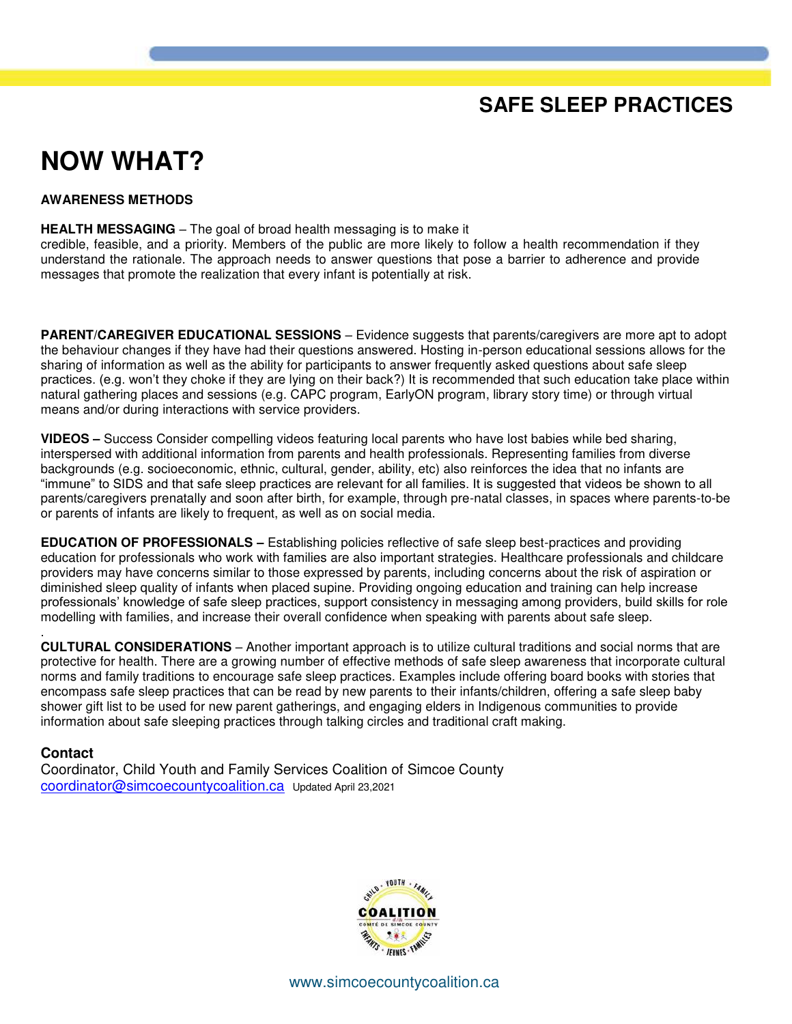## **SAFE SLEEP PRACTICES**

## **NOW WHAT?**

#### **AWARENESS METHODS**

**HEALTH MESSAGING** – The goal of broad health messaging is to make it credible, feasible, and a priority. Members of the public are more likely to follow a health recommendation if they understand the rationale. The approach needs to answer questions that pose a barrier to adherence and provide messages that promote the realization that every infant is potentially at risk.

**PARENT/CAREGIVER EDUCATIONAL SESSIONS** – Evidence suggests that parents/caregivers are more apt to adopt the behaviour changes if they have had their questions answered. Hosting in-person educational sessions allows for the sharing of information as well as the ability for participants to answer frequently asked questions about safe sleep practices. (e.g. won't they choke if they are lying on their back?) It is recommended that such education take place within natural gathering places and sessions (e.g. CAPC program, EarlyON program, library story time) or through virtual means and/or during interactions with service providers.

**VIDEOS –** Success Consider compelling videos featuring local parents who have lost babies while bed sharing, interspersed with additional information from parents and health professionals. Representing families from diverse backgrounds (e.g. socioeconomic, ethnic, cultural, gender, ability, etc) also reinforces the idea that no infants are "immune" to SIDS and that safe sleep practices are relevant for all families. It is suggested that videos be shown to all parents/caregivers prenatally and soon after birth, for example, through pre-natal classes, in spaces where parents-to-be or parents of infants are likely to frequent, as well as on social media.

**EDUCATION OF PROFESSIONALS –** Establishing policies reflective of safe sleep best-practices and providing education for professionals who work with families are also important strategies. Healthcare professionals and childcare providers may have concerns similar to those expressed by parents, including concerns about the risk of aspiration or diminished sleep quality of infants when placed supine. Providing ongoing education and training can help increase professionals' knowledge of safe sleep practices, support consistency in messaging among providers, build skills for role modelling with families, and increase their overall confidence when speaking with parents about safe sleep.

. **CULTURAL CONSIDERATIONS** – Another important approach is to utilize cultural traditions and social norms that are protective for health. There are a growing number of effective methods of safe sleep awareness that incorporate cultural norms and family traditions to encourage safe sleep practices. Examples include offering board books with stories that encompass safe sleep practices that can be read by new parents to their infants/children, offering a safe sleep baby shower gift list to be used for new parent gatherings, and engaging elders in Indigenous communities to provide information about safe sleeping practices through talking circles and traditional craft making.

#### **Contact**

Coordinator, Child Youth and Family Services Coalition of Simcoe County [coordinator@simcoecountycoalition.ca](mailto:coordinator@simcoecountycoalition.ca) Updated April 23,2021